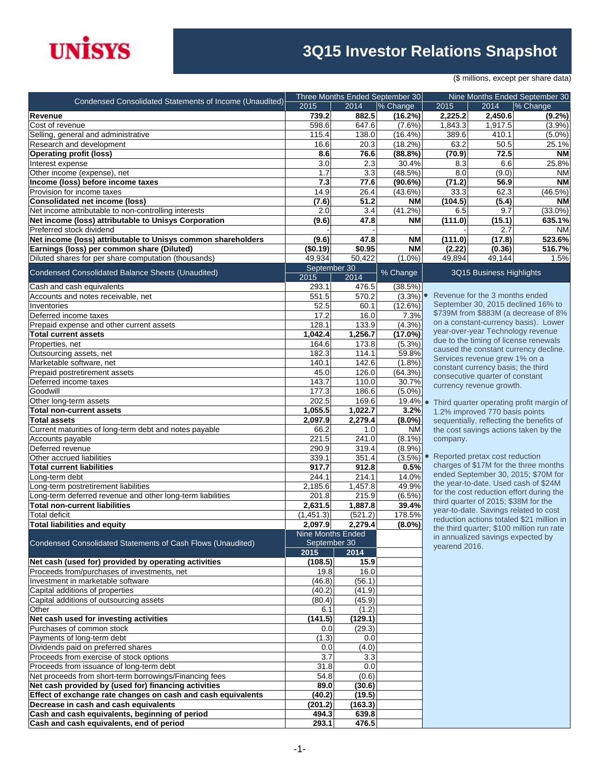

## **3Q15 Investor Relations Snapshot**

(\$ millions, except per share data)

| Condensed Consolidated Statements of Income (Unaudited)                                                        |                                   |                    | Three Months Ended September 30 |                                                    |                                      | Nine Months Ended September 30                                               |
|----------------------------------------------------------------------------------------------------------------|-----------------------------------|--------------------|---------------------------------|----------------------------------------------------|--------------------------------------|------------------------------------------------------------------------------|
|                                                                                                                | 2015                              | 2014               | % Change                        | 2015                                               | 2014                                 | % Change                                                                     |
| Revenue                                                                                                        | 739.2                             | 882.5              | (16.2%)                         | 2,225.2                                            | 2,450.6                              | $(9.2\%)$                                                                    |
| Cost of revenue<br>Selling, general and administrative                                                         | 598.6<br>115.4                    | 647.6<br>138.0     | $(7.6\%)$<br>(16.4%)            | 1,843.3<br>389.6                                   | 1,917.5<br>410.1                     | (3.9%)<br>$(5.0\%)$                                                          |
| Research and development                                                                                       | 16.6                              | 20.3               | (18.2%)                         | 63.2                                               | 50.5                                 | 25.1%                                                                        |
| <b>Operating profit (loss)</b>                                                                                 | 8.6                               | 76.6               | $(88.8\%)$                      | (70.9)                                             | 72.5                                 | <b>NM</b>                                                                    |
| Interest expense                                                                                               | 3.0                               | 2.3                | 30.4%                           | 8.3                                                | 6.6                                  | 25.8%                                                                        |
| Other income (expense), net                                                                                    | 1.7                               | $\overline{3.3}$   | (48.5%)                         | 8.0                                                | (9.0)                                | <b>NM</b>                                                                    |
| Income (loss) before income taxes                                                                              | 7.3                               | 77.6               | (90.6%)                         | (71.2)                                             | 56.9                                 | <b>NM</b>                                                                    |
| Provision for income taxes                                                                                     | 14.9                              | 26.4               | (43.6%)                         | 33.3                                               | 62.3                                 | (46.5%)                                                                      |
| <b>Consolidated net income (loss)</b>                                                                          | (7.6)                             | 51.2               | <b>NM</b>                       | (104.5)                                            | (5.4)                                | <b>NM</b>                                                                    |
| Net income attributable to non-controlling interests                                                           | 2.0                               | 3.4                | (41.2%)                         | 6.5                                                | 9.7                                  | $(33.0\%)$                                                                   |
| Net income (loss) attributable to Unisys Corporation                                                           | (9.6)                             | 47.8               | <b>NM</b>                       | (111.0)                                            | (15.1)                               | 635.1%                                                                       |
| Preferred stock dividend                                                                                       |                                   |                    |                                 |                                                    | 2.7                                  | <b>NM</b>                                                                    |
| Net income (loss) attributable to Unisys common shareholders                                                   | (9.6)                             | 47.8               | <b>NM</b>                       | (111.0)                                            | (17.8)                               | 523.6%                                                                       |
| Earnings (loss) per common share (Diluted)                                                                     | (\$0.19)                          | \$0.95             | <b>NM</b>                       | (2.22)                                             | (0.36)                               | 516.7%                                                                       |
| Diluted shares for per share computation (thousands)                                                           | 49,934                            | 50,422             | $(1.0\%)$                       | 49,894                                             | 49,144                               | 1.5%                                                                         |
| Condensed Consolidated Balance Sheets (Unaudited)                                                              | September 30<br>2015              | 2014               | % Change                        |                                                    | 3Q15 Business Highlights             |                                                                              |
| Cash and cash equivalents                                                                                      | 293.1                             | 476.5              | (38.5%)                         |                                                    |                                      |                                                                              |
| Accounts and notes receivable, net                                                                             | 551.5                             | 570.2              | (3.3%)                          | $\bullet$                                          | Revenue for the 3 months ended       |                                                                              |
| Inventories                                                                                                    | 52.5                              | 60.1               | $(12.6\%)$                      |                                                    |                                      | September 30, 2015 declined 16% to<br>\$739M from \$883M (a decrease of 8%   |
| Deferred income taxes                                                                                          | 17.2                              | 16.0               | 7.3%                            |                                                    |                                      | on a constant-currency basis). Lower                                         |
| Prepaid expense and other current assets                                                                       | 128.1                             | 133.9              | (4.3%)                          |                                                    | year-over-year Technology revenue    |                                                                              |
| <b>Total current assets</b>                                                                                    | 1.042.4                           | 1,256.7            | $(17.0\%)$                      |                                                    |                                      | due to the timing of license renewals                                        |
| Properties, net<br>Outsourcing assets, net                                                                     | 164.6<br>182.3                    | 173.8<br>114.1     | $(5.3\%)$<br>59.8%              |                                                    |                                      | caused the constant currency decline.                                        |
| Marketable software, net                                                                                       | 140.1                             | 142.6              | $(1.8\%)$                       |                                                    | Services revenue grew 1% on a        |                                                                              |
| Prepaid postretirement assets                                                                                  | 45.0                              | 126.0              | $(64.3\%)$                      |                                                    | constant currency basis; the third   |                                                                              |
| Deferred income taxes                                                                                          | 143.7                             | 110.0              | 30.7%                           |                                                    | consecutive quarter of constant      |                                                                              |
| Goodwill                                                                                                       | 177.3                             | 186.6              | $(5.0\%)$                       |                                                    | currency revenue growth.             |                                                                              |
| Other long-term assets                                                                                         | 202.5                             | 169.6              | 19.4%                           |                                                    |                                      | Third quarter operating profit margin of                                     |
| <b>Total non-current assets</b>                                                                                | 1,055.5                           | 1,022.7            | 3.2%                            |                                                    | 1.2% improved 770 basis points       |                                                                              |
| <b>Total assets</b>                                                                                            | 2,097.9                           | 2,279.4            | $(8.0\%)$                       |                                                    |                                      | sequentially, reflecting the benefits of                                     |
| Current maturities of long-term debt and notes payable                                                         | 66.2                              | 1.0                | <b>NM</b>                       |                                                    |                                      | the cost savings actions taken by the                                        |
| Accounts payable                                                                                               | 221.5                             | 241.0              | $(8.1\%)$                       | company.                                           |                                      |                                                                              |
| Deferred revenue                                                                                               | 290.9                             | 319.4              | (8.9%)                          |                                                    |                                      |                                                                              |
| Other accrued liabilities                                                                                      | 339.1                             | 351.4              | (3.5%)                          |                                                    | Reported pretax cost reduction       |                                                                              |
| <b>Total current liabilities</b>                                                                               | 917.7                             | 912.8              | 0.5%                            |                                                    |                                      | charges of \$17M for the three months<br>ended September 30, 2015; \$70M for |
| Long-term debt                                                                                                 | 244.1                             | 214.1              | 14.0%                           |                                                    |                                      | the year-to-date. Used cash of \$24M                                         |
| Long-term postretirement liabilities                                                                           | 2,185.6                           | 1,457.8            | 49.9%                           |                                                    |                                      | for the cost reduction effort during the                                     |
| Long-term deferred revenue and other long-term liabilities                                                     | 201.8                             | 215.9              | $(6.5\%)$                       |                                                    | third quarter of 2015; \$38M for the |                                                                              |
| <b>Total non-current liabilities</b>                                                                           | 2,631.5                           | 1,887.8            | 39.4%                           |                                                    |                                      | year-to-date. Savings related to cost                                        |
| Total deficit                                                                                                  | (1,451.3)<br>2,097.9              | (521.2)<br>2,279.4 | 178.5%<br>$(8.0\%)$             |                                                    |                                      | reduction actions totaled \$21 million in                                    |
| <b>Total liabilities and equity</b>                                                                            |                                   |                    |                                 |                                                    |                                      | the third quarter; \$100 million run rate                                    |
| Condensed Consolidated Statements of Cash Flows (Unaudited)                                                    | Nine Months Ended<br>September 30 |                    |                                 | in annualized savings expected by<br>yearend 2016. |                                      |                                                                              |
|                                                                                                                | 2015                              | 2014               |                                 |                                                    |                                      |                                                                              |
| Net cash (used for) provided by operating activities                                                           | (108.5)                           | 15.9               |                                 |                                                    |                                      |                                                                              |
| Proceeds from/purchases of investments, net                                                                    | 19.8                              | 16.0               |                                 |                                                    |                                      |                                                                              |
| Investment in marketable software                                                                              | (46.8)                            | (56.1)             |                                 |                                                    |                                      |                                                                              |
| Capital additions of properties                                                                                | (40.2)                            | (41.9)             |                                 |                                                    |                                      |                                                                              |
| Capital additions of outsourcing assets                                                                        | (80.4)                            | (45.9)             |                                 |                                                    |                                      |                                                                              |
| Other                                                                                                          | 6.1                               | (1.2)              |                                 |                                                    |                                      |                                                                              |
| Net cash used for investing activities                                                                         | (141.5)                           | (129.1)            |                                 |                                                    |                                      |                                                                              |
| Purchases of common stock                                                                                      | 0.0                               | (29.3)             |                                 |                                                    |                                      |                                                                              |
| Payments of long-term debt                                                                                     | (1.3)                             | 0.0                |                                 |                                                    |                                      |                                                                              |
| Dividends paid on preferred shares                                                                             | 0.0                               | (4.0)              |                                 |                                                    |                                      |                                                                              |
| Proceeds from exercise of stock options                                                                        | 3.7                               | 3.3                |                                 |                                                    |                                      |                                                                              |
| Proceeds from issuance of long-term debt                                                                       | 31.8<br>54.8                      | 0.0<br>(0.6)       |                                 |                                                    |                                      |                                                                              |
| Net proceeds from short-term borrowings/Financing fees<br>Net cash provided by (used for) financing activities | 89.0                              | (30.6)             |                                 |                                                    |                                      |                                                                              |
| Effect of exchange rate changes on cash and cash equivalents                                                   | (40.2)                            | (19.5)             |                                 |                                                    |                                      |                                                                              |
| Decrease in cash and cash equivalents                                                                          | (201.2)                           | (163.3)            |                                 |                                                    |                                      |                                                                              |
| Cash and cash equivalents, beginning of period                                                                 | 494.3                             | 639.8              |                                 |                                                    |                                      |                                                                              |
| Cash and cash equivalents, end of period                                                                       | 293.1                             | 476.5              |                                 |                                                    |                                      |                                                                              |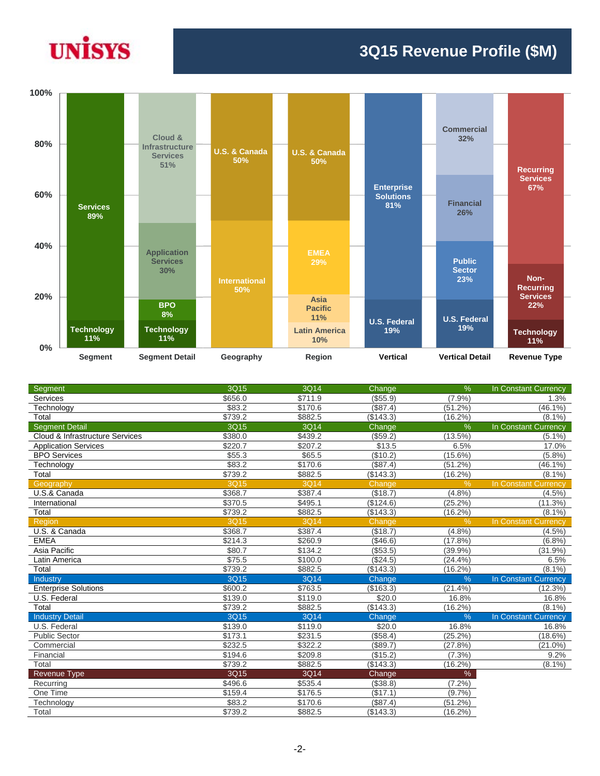

## **3Q15 Revenue Profile (\$M)**



| Segment                         | 3Q15    | 3Q14    | Change        | $\%$          | In Constant Currency        |
|---------------------------------|---------|---------|---------------|---------------|-----------------------------|
| Services                        | \$656.0 | \$711.9 | (\$55.9)      | (7.9%         | 1.3%                        |
| Technology                      | \$83.2  | \$170.6 | (\$87.4)      | (51.2%)       | $(46.1\%)$                  |
| Total                           | \$739.2 | \$882.5 | (\$143.3)     | $(16.2\%)$    | $(8.1\%)$                   |
| <b>Segment Detail</b>           | 3Q15    | 3Q14    | Change        | %             | In Constant Currency        |
| Cloud & Infrastructure Services | \$380.0 | \$439.2 | (\$59.2)      | (13.5%)       | (5.1%                       |
| <b>Application Services</b>     | \$220.7 | \$207.2 | \$13.5        | 6.5%          | 17.0%                       |
| <b>BPO Services</b>             | \$55.3  | \$65.5  | (\$10.2)      | $(15.6\%)$    | (5.8%)                      |
| Technology                      | \$83.2  | \$170.6 | (\$87.4)      | $(51.2\%)$    | $(46.1\%)$                  |
| Total                           | \$739.2 | \$882.5 | (\$143.3)     | $(16.2\%)$    | $(8.1\%)$                   |
| Geography                       | 3Q15    | 3Q14    | <b>Change</b> | $\frac{9}{6}$ | In Constant Currency        |
| U.S.& Canada                    | \$368.7 | \$387.4 | (\$18.7)      | (4.8%         | $(4.5\%)$                   |
| International                   | \$370.5 | \$495.1 | (\$124.6)     | (25.2%)       | (11.3%)                     |
| Total                           | \$739.2 | \$882.5 | (\$143.3)     | (16.2%)       | $(8.1\%)$                   |
| Region                          | 3Q15    | 3Q14    | Change        | %             | <b>In Constant Currency</b> |
| U.S. & Canada                   | \$368.7 | \$387.4 | (\$18.7)      | (4.8%         | $(4.5\%)$                   |
| <b>EMEA</b>                     | \$214.3 | \$260.9 | ( \$46.6)     | (17.8%        | (6.8%)                      |
| Asia Pacific                    | \$80.7  | \$134.2 | (\$53.5)      | (39.9%        | $(31.9\%)$                  |
| Latin America                   | \$75.5  | \$100.0 | (\$24.5)      | (24.4%        | 6.5%                        |
| Total                           | \$739.2 | \$882.5 | (\$143.3)     | $(16.2\%)$    | $(8.1\%)$                   |
| Industry                        | 3Q15    | 3Q14    | Change        | $\frac{9}{6}$ | In Constant Currency        |
| <b>Enterprise Solutions</b>     | \$600.2 | \$763.5 | (\$163.3)     | (21.4%        | (12.3%)                     |
| U.S. Federal                    | \$139.0 | \$119.0 | \$20.0        | 16.8%         | 16.8%                       |
| Total                           | \$739.2 | \$882.5 | (\$143.3)     | (16.2%)       | $(8.1\%)$                   |
| <b>Industry Detail</b>          | 3Q15    | 3Q14    | <b>Change</b> | %             | <b>In Constant Currency</b> |
| U.S. Federal                    | \$139.0 | \$119.0 | \$20.0        | 16.8%         | 16.8%                       |
| <b>Public Sector</b>            | \$173.1 | \$231.5 | (\$58.4)      | $(25.2\%)$    | $(18.6\%)$                  |
| Commercial                      | \$232.5 | \$322.2 | (\$89.7)      | (27.8%)       | $(21.0\%)$                  |
| Financial                       | \$194.6 | \$209.8 | (\$15.2)      | (7.3%)        | 9.2%                        |
| Total                           | \$739.2 | \$882.5 | (\$143.3)     | $(16.2\%)$    | $(8.1\%)$                   |
| <b>Revenue Type</b>             | 3Q15    | 3Q14    | Change        | $\%$          |                             |
| Recurring                       | \$496.6 | \$535.4 | (\$38.8)      | (7.2%)        |                             |
| One Time                        | \$159.4 | \$176.5 | (\$17.1)      | (9.7%         |                             |
| Technology                      | \$83.2  | \$170.6 | (\$87.4)      | (51.2%)       |                             |
| Total                           | \$739.2 | \$882.5 | (\$143.3)     | (16.2%)       |                             |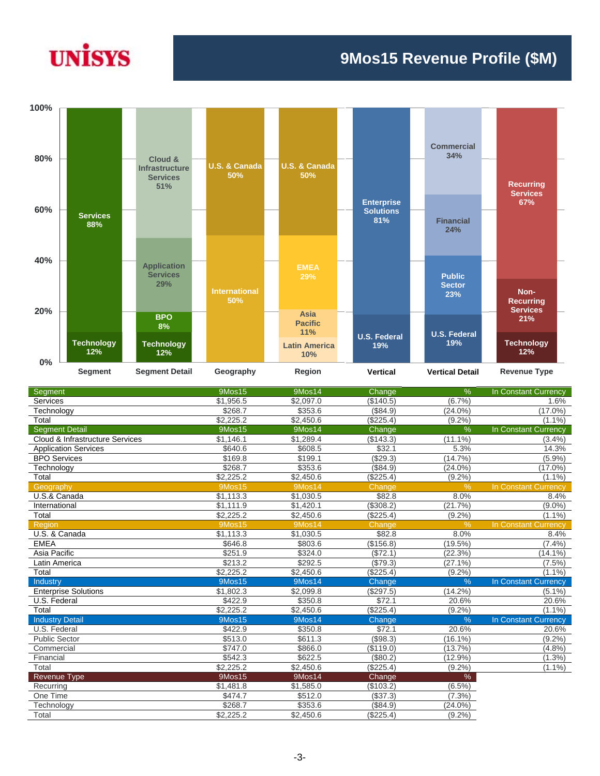## **UNISYS**

## **9Mos15 Revenue Profile (\$M)**



| Segment                         | 9Mos15        | 9Mos14        | Change    | %             | In Constant Currency        |
|---------------------------------|---------------|---------------|-----------|---------------|-----------------------------|
| <b>Services</b>                 | \$1,956.5     | \$2,097.0     | (\$140.5) | (6.7%)        | 1.6%                        |
| Technology                      | \$268.7       | \$353.6       | (\$84.9)  | $(24.0\%)$    | $(17.0\%)$                  |
| Total                           | \$2.225.2     | \$2,450.6     | (\$225.4) | $(9.2\%)$     | $(1.1\%)$                   |
| <b>Segment Detail</b>           | 9Mos15        | 9Mos14        | Change    | %             | In Constant Currency        |
| Cloud & Infrastructure Services | \$1,146.1     | \$1,289.4     | (\$143.3) | $(11.1\%)$    | (3.4%)                      |
| <b>Application Services</b>     | \$640.6       | \$608.5       | \$32.1    | 5.3%          | 14.3%                       |
| <b>BPO Services</b>             | \$169.8       | \$199.1       | (\$29.3)  | (14.7%        | (5.9%)                      |
| Technology                      | \$268.7       | \$353.6       | (\$84.9)  | $(24.0\%)$    | $(17.0\%)$                  |
| Total                           | \$2,225.2     | \$2,450.6     | (\$225.4) | $(9.2\%)$     | $(1.1\%)$                   |
| Geography                       | <b>9Mos15</b> | 9Mos14        | Change    | %             | In Constant Currency        |
| U.S.& Canada                    | \$1,113.3     | \$1,030.5     | \$82.8    | 8.0%          | 8.4%                        |
| International                   | \$1,111.9     | \$1,420.1     | (\$308.2) | (21.7%)       | $(9.0\%)$                   |
| Total                           | \$2,225.2     | \$2,450.6     | (\$225.4) | $(9.2\%)$     | $(1.1\%)$                   |
| Region                          | <b>9Mos15</b> | 9Mos14        | Change    | $\%$          | <b>In Constant Currency</b> |
| U.S. & Canada                   | \$1,113.3     | \$1,030.5     | \$82.8    | 8.0%          | 8.4%                        |
| <b>EMEA</b>                     | \$646.8       | \$803.6       | (\$156.8) | $(19.5\%)$    | (7.4%)                      |
| Asia Pacific                    | \$251.9       | \$324.0       | (\$72.1)  | (22.3%        | $(14.1\%)$                  |
| Latin America                   | \$213.2       | \$292.5       | (\$79.3)  | (27.1%        | $(7.5\%)$                   |
| Total                           | \$2,225.2     | \$2,450.6     | (\$225.4) | (9.2%         | $(1.1\%)$                   |
| Industry                        | <b>9Mos15</b> | <b>9Mos14</b> | Change    | $\frac{0}{6}$ | In Constant Currency        |
| <b>Enterprise Solutions</b>     | \$1,802.3     | \$2,099.8     | (\$297.5) | $(14.2\%)$    | $(5.1\%)$                   |
| U.S. Federal                    | \$422.9       | \$350.8       | \$72.1    | 20.6%         | 20.6%                       |
| Total                           | \$2,225.2     | \$2,450.6     | (\$225.4) | $(9.2\%)$     | $(1.1\%)$                   |
| <b>Industry Detail</b>          | <b>9Mos15</b> | 9Mos14        | Change    | $\frac{0}{6}$ | In Constant Currency        |
| U.S. Federal                    | \$422.9       | \$350.8       | \$72.1    | 20.6%         | 20.6%                       |
| <b>Public Sector</b>            | \$513.0       | \$611.3       | (\$98.3)  | $(16.1\%)$    | $(9.2\%)$                   |
| Commercial                      | \$747.0       | \$866.0       | (\$119.0) | (13.7%        | (4.8%)                      |
| Financial                       | \$542.3       | \$622.5       | (\$80.2)  | $(12.9\%)$    | $(1.3\%)$                   |
| Total                           | \$2,225.2     | \$2,450.6     | (\$225.4) | (9.2%         | $(1.1\%)$                   |
| Revenue Type                    | 9Mos15        | 9Mos14        | Change    | %             |                             |
| Recurring                       | \$1,481.8     | \$1,585.0     | (\$103.2) | $(6.5\%)$     |                             |
| One Time                        | \$474.7       | \$512.0       | (\$37.3)  | (7.3%)        |                             |
| Technology                      | \$268.7       | \$353.6       | (\$84.9)  | $(24.0\%)$    |                             |
| Total                           | \$2,225.2     | \$2,450.6     | (\$225.4) | $(9.2\%)$     |                             |
|                                 |               |               |           |               |                             |